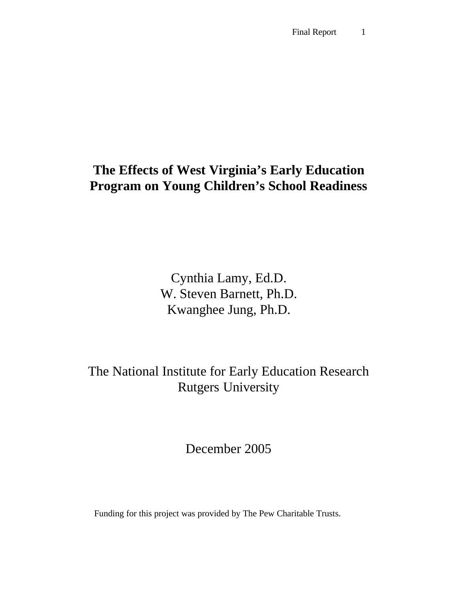# **The Effects of West Virginia's Early Education Program on Young Children's School Readiness**

Cynthia Lamy, Ed.D. W. Steven Barnett, Ph.D. Kwanghee Jung, Ph.D.

The National Institute for Early Education Research Rutgers University

December 2005

Funding for this project was provided by The Pew Charitable Trusts.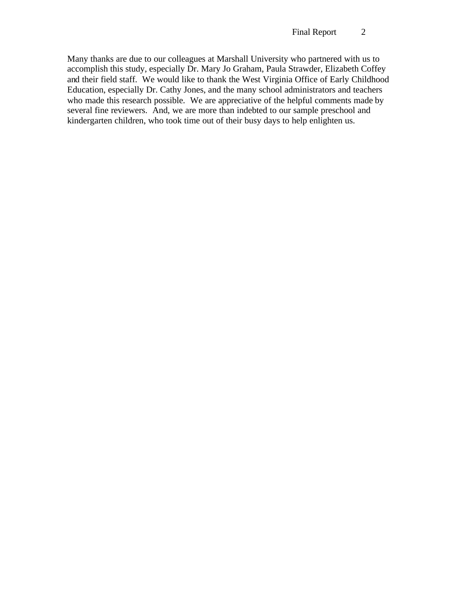Many thanks are due to our colleagues at Marshall University who partnered with us to accomplish this study, especially Dr. Mary Jo Graham, Paula Strawder, Elizabeth Coffey and their field staff. We would like to thank the West Virginia Office of Early Childhood Education, especially Dr. Cathy Jones, and the many school administrators and teachers who made this research possible. We are appreciative of the helpful comments made by several fine reviewers. And, we are more than indebted to our sample preschool and kindergarten children, who took time out of their busy days to help enlighten us.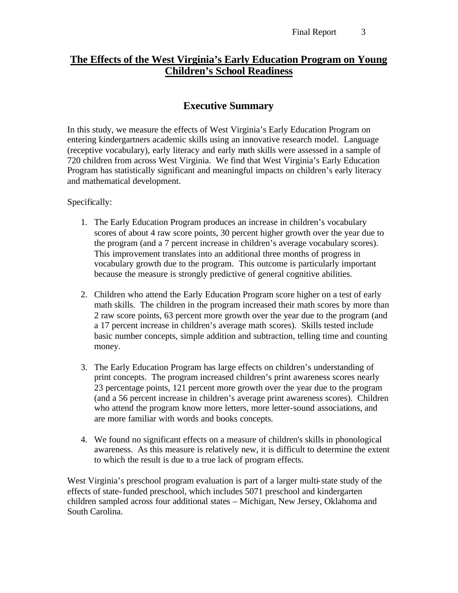# **The Effects of the West Virginia's Early Education Program on Young Children's School Readiness**

# **Executive Summary**

In this study, we measure the effects of West Virginia's Early Education Program on entering kindergartners academic skills using an innovative research model. Language (receptive vocabulary), early literacy and early math skills were assessed in a sample of 720 children from across West Virginia. We find that West Virginia's Early Education Program has statistically significant and meaningful impacts on children's early literacy and mathematical development.

Specifically:

- 1. The Early Education Program produces an increase in children's vocabulary scores of about 4 raw score points, 30 percent higher growth over the year due to the program (and a 7 percent increase in children's average vocabulary scores). This improvement translates into an additional three months of progress in vocabulary growth due to the program. This outcome is particularly important because the measure is strongly predictive of general cognitive abilities.
- 2. Children who attend the Early Education Program score higher on a test of early math skills. The children in the program increased their math scores by more than 2 raw score points, 63 percent more growth over the year due to the program (and a 17 percent increase in children's average math scores). Skills tested include basic number concepts, simple addition and subtraction, telling time and counting money.
- 3. The Early Education Program has large effects on children's understanding of print concepts. The program increased children's print awareness scores nearly 23 percentage points, 121 percent more growth over the year due to the program (and a 56 percent increase in children's average print awareness scores). Children who attend the program know more letters, more letter-sound associations, and are more familiar with words and books concepts.
- 4. We found no significant effects on a measure of children's skills in phonological awareness. As this measure is relatively new, it is difficult to determine the extent to which the result is due to a true lack of program effects.

West Virginia's preschool program evaluation is part of a larger multi-state study of the effects of state-funded preschool, which includes 5071 preschool and kindergarten children sampled across four additional states – Michigan, New Jersey, Oklahoma and South Carolina.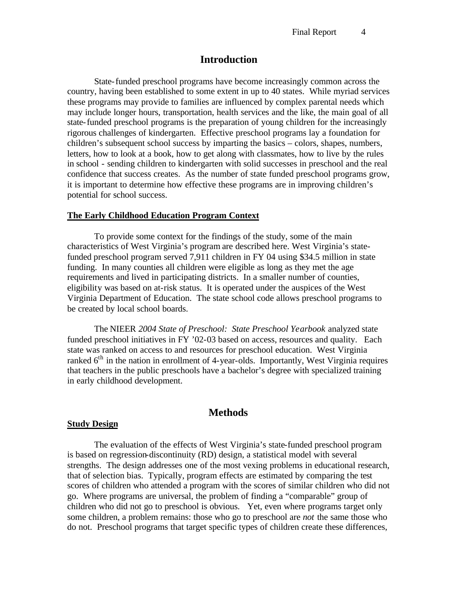### **Introduction**

State-funded preschool programs have become increasingly common across the country, having been established to some extent in up to 40 states. While myriad services these programs may provide to families are influenced by complex parental needs which may include longer hours, transportation, health services and the like, the main goal of all state-funded preschool programs is the preparation of young children for the increasingly rigorous challenges of kindergarten. Effective preschool programs lay a foundation for children's subsequent school success by imparting the basics – colors, shapes, numbers, letters, how to look at a book, how to get along with classmates, how to live by the rules in school - sending children to kindergarten with solid successes in preschool and the real confidence that success creates. As the number of state funded preschool programs grow, it is important to determine how effective these programs are in improving children's potential for school success.

#### **The Early Childhood Education Program Context**

To provide some context for the findings of the study, some of the main characteristics of West Virginia's program are described here. West Virginia's statefunded preschool program served 7,911 children in FY 04 using \$34.5 million in state funding. In many counties all children were eligible as long as they met the age requirements and lived in participating districts. In a smaller number of counties, eligibility was based on at-risk status. It is operated under the auspices of the West Virginia Department of Education. The state school code allows preschool programs to be created by local school boards.

The NIEER *2004 State of Preschool: State Preschool Yearbook* analyzed state funded preschool initiatives in FY '02-03 based on access, resources and quality. Each state was ranked on access to and resources for preschool education. West Virginia ranked  $6<sup>th</sup>$  in the nation in enrollment of 4-year-olds. Importantly, West Virginia requires that teachers in the public preschools have a bachelor's degree with specialized training in early childhood development.

# **Methods**

#### **Study Design**

The evaluation of the effects of West Virginia's state-funded preschool program is based on regression-discontinuity (RD) design, a statistical model with several strengths. The design addresses one of the most vexing problems in educational research, that of selection bias. Typically, program effects are estimated by comparing the test scores of children who attended a program with the scores of similar children who did not go. Where programs are universal, the problem of finding a "comparable" group of children who did not go to preschool is obvious. Yet, even where programs target only some children, a problem remains: those who go to preschool are *not* the same those who do not. Preschool programs that target specific types of children create these differences,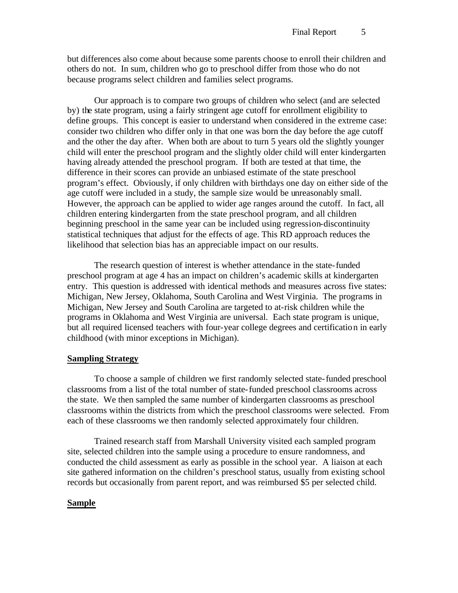but differences also come about because some parents choose to enroll their children and others do not. In sum, children who go to preschool differ from those who do not because programs select children and families select programs.

Our approach is to compare two groups of children who select (and are selected by) the state program, using a fairly stringent age cutoff for enrollment eligibility to define groups. This concept is easier to understand when considered in the extreme case: consider two children who differ only in that one was born the day before the age cutoff and the other the day after. When both are about to turn 5 years old the slightly younger child will enter the preschool program and the slightly older child will enter kindergarten having already attended the preschool program. If both are tested at that time, the difference in their scores can provide an unbiased estimate of the state preschool program's effect. Obviously, if only children with birthdays one day on either side of the age cutoff were included in a study, the sample size would be unreasonably small. However, the approach can be applied to wider age ranges around the cutoff. In fact, all children entering kindergarten from the state preschool program, and all children beginning preschool in the same year can be included using regression-discontinuity statistical techniques that adjust for the effects of age. This RD approach reduces the likelihood that selection bias has an appreciable impact on our results.

The research question of interest is whether attendance in the state-funded preschool program at age 4 has an impact on children's academic skills at kindergarten entry. This question is addressed with identical methods and measures across five states: Michigan, New Jersey, Oklahoma, South Carolina and West Virginia. The programs in Michigan, New Jersey and South Carolina are targeted to at-risk children while the programs in Oklahoma and West Virginia are universal. Each state program is unique, but all required licensed teachers with four-year college degrees and certification in early childhood (with minor exceptions in Michigan).

#### **Sampling Strategy**

To choose a sample of children we first randomly selected state-funded preschool classrooms from a list of the total number of state-funded preschool classrooms across the state. We then sampled the same number of kindergarten classrooms as preschool classrooms within the districts from which the preschool classrooms were selected. From each of these classrooms we then randomly selected approximately four children.

Trained research staff from Marshall University visited each sampled program site, selected children into the sample using a procedure to ensure randomness, and conducted the child assessment as early as possible in the school year. A liaison at each site gathered information on the children's preschool status, usually from existing school records but occasionally from parent report, and was reimbursed \$5 per selected child.

#### **Sample**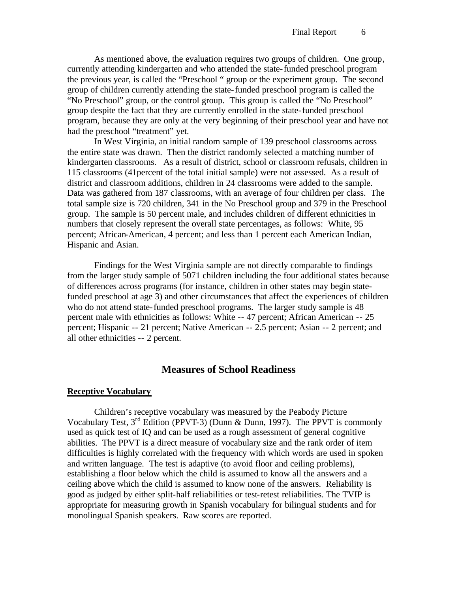As mentioned above, the evaluation requires two groups of children. One group, currently attending kindergarten and who attended the state-funded preschool program the previous year, is called the "Preschool " group or the experiment group. The second group of children currently attending the state-funded preschool program is called the "No Preschool" group, or the control group. This group is called the "No Preschool" group despite the fact that they are currently enrolled in the state-funded preschool program, because they are only at the very beginning of their preschool year and have not had the preschool "treatment" yet.

In West Virginia, an initial random sample of 139 preschool classrooms across the entire state was drawn. Then the district randomly selected a matching number of kindergarten classrooms. As a result of district, school or classroom refusals, children in 115 classrooms (41percent of the total initial sample) were not assessed. As a result of district and classroom additions, children in 24 classrooms were added to the sample. Data was gathered from 187 classrooms, with an average of four children per class. The total sample size is 720 children, 341 in the No Preschool group and 379 in the Preschool group. The sample is 50 percent male, and includes children of different ethnicities in numbers that closely represent the overall state percentages, as follows: White, 95 percent; African-American, 4 percent; and less than 1 percent each American Indian, Hispanic and Asian.

Findings for the West Virginia sample are not directly comparable to findings from the larger study sample of 5071 children including the four additional states because of differences across programs (for instance, children in other states may begin statefunded preschool at age 3) and other circumstances that affect the experiences of children who do not attend state-funded preschool programs. The larger study sample is 48 percent male with ethnicities as follows: White -- 47 percent; African American -- 25 percent; Hispanic -- 21 percent; Native American -- 2.5 percent; Asian -- 2 percent; and all other ethnicities -- 2 percent.

# **Measures of School Readiness**

#### **Receptive Vocabulary**

Children's receptive vocabulary was measured by the Peabody Picture Vocabulary Test,  $3^{rd}$  Edition (PPVT-3) (Dunn & Dunn, 1997). The PPVT is commonly used as quick test of IQ and can be used as a rough assessment of general cognitive abilities. The PPVT is a direct measure of vocabulary size and the rank order of item difficulties is highly correlated with the frequency with which words are used in spoken and written language. The test is adaptive (to avoid floor and ceiling problems), establishing a floor below which the child is assumed to know all the answers and a ceiling above which the child is assumed to know none of the answers. Reliability is good as judged by either split-half reliabilities or test-retest reliabilities. The TVIP is appropriate for measuring growth in Spanish vocabulary for bilingual students and for monolingual Spanish speakers. Raw scores are reported.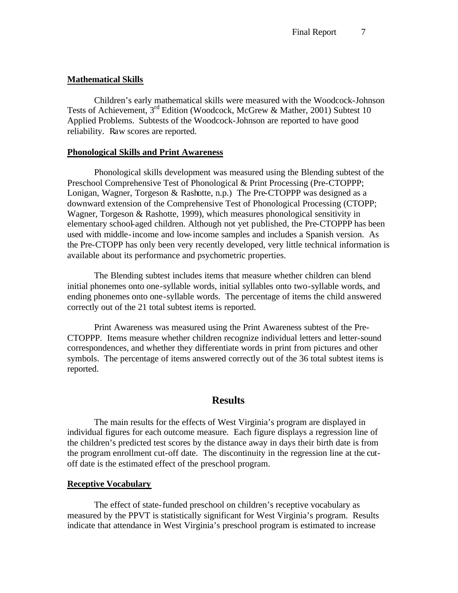#### **Mathematical Skills**

Children's early mathematical skills were measured with the Woodcock-Johnson Tests of Achievement, 3rd Edition (Woodcock, McGrew & Mather, 2001) Subtest 10 Applied Problems. Subtests of the Woodcock-Johnson are reported to have good reliability. Raw scores are reported.

#### **Phonological Skills and Print Awareness**

Phonological skills development was measured using the Blending subtest of the Preschool Comprehensive Test of Phonological & Print Processing (Pre-CTOPPP; Lonigan, Wagner, Torgeson & Rashotte, n.p.) The Pre-CTOPPP was designed as a downward extension of the Comprehensive Test of Phonological Processing (CTOPP; Wagner, Torgeson & Rashotte, 1999), which measures phonological sensitivity in elementary school-aged children. Although not yet published, the Pre-CTOPPP has been used with middle-income and low-income samples and includes a Spanish version. As the Pre-CTOPP has only been very recently developed, very little technical information is available about its performance and psychometric properties.

The Blending subtest includes items that measure whether children can blend initial phonemes onto one-syllable words, initial syllables onto two-syllable words, and ending phonemes onto one-syllable words. The percentage of items the child answered correctly out of the 21 total subtest items is reported.

Print Awareness was measured using the Print Awareness subtest of the Pre-CTOPPP. Items measure whether children recognize individual letters and letter-sound correspondences, and whether they differentiate words in print from pictures and other symbols. The percentage of items answered correctly out of the 36 total subtest items is reported.

# **Results**

The main results for the effects of West Virginia's program are displayed in individual figures for each outcome measure. Each figure displays a regression line of the children's predicted test scores by the distance away in days their birth date is from the program enrollment cut-off date. The discontinuity in the regression line at the cutoff date is the estimated effect of the preschool program.

#### **Receptive Vocabulary**

The effect of state-funded preschool on children's receptive vocabulary as measured by the PPVT is statistically significant for West Virginia's program. Results indicate that attendance in West Virginia's preschool program is estimated to increase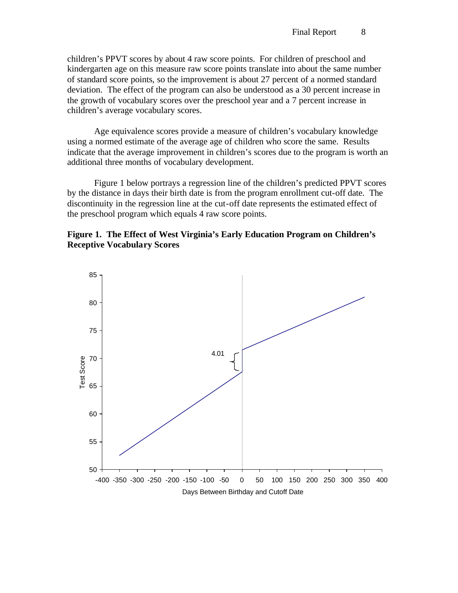children's PPVT scores by about 4 raw score points. For children of preschool and kindergarten age on this measure raw score points translate into about the same number of standard score points, so the improvement is about 27 percent of a normed standard deviation. The effect of the program can also be understood as a 30 percent increase in the growth of vocabulary scores over the preschool year and a 7 percent increase in children's average vocabulary scores.

Age equivalence scores provide a measure of children's vocabulary knowledge using a normed estimate of the average age of children who score the same. Results indicate that the average improvement in children's scores due to the program is worth an additional three months of vocabulary development.

Figure 1 below portrays a regression line of the children's predicted PPVT scores by the distance in days their birth date is from the program enrollment cut-off date. The discontinuity in the regression line at the cut-off date represents the estimated effect of the preschool program which equals 4 raw score points.



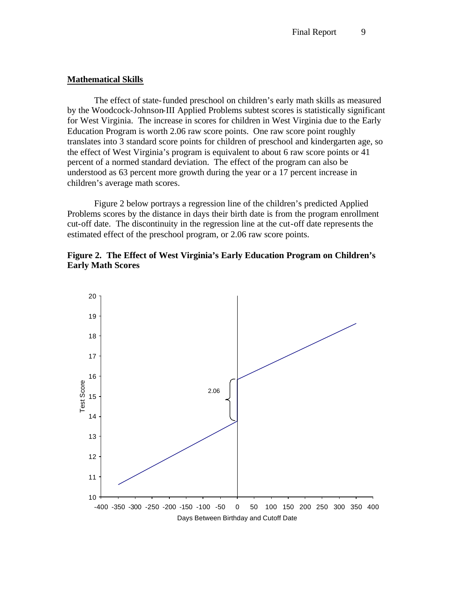#### **Mathematical Skills**

The effect of state-funded preschool on children's early math skills as measured by the Woodcock-Johnson-III Applied Problems subtest scores is statistically significant for West Virginia. The increase in scores for children in West Virginia due to the Early Education Program is worth 2.06 raw score points. One raw score point roughly translates into 3 standard score points for children of preschool and kindergarten age, so the effect of West Virginia's program is equivalent to about 6 raw score points or 41 percent of a normed standard deviation. The effect of the program can also be understood as 63 percent more growth during the year or a 17 percent increase in children's average math scores.

Figure 2 below portrays a regression line of the children's predicted Applied Problems scores by the distance in days their birth date is from the program enrollment cut-off date. The discontinuity in the regression line at the cut-off date represents the estimated effect of the preschool program, or 2.06 raw score points.



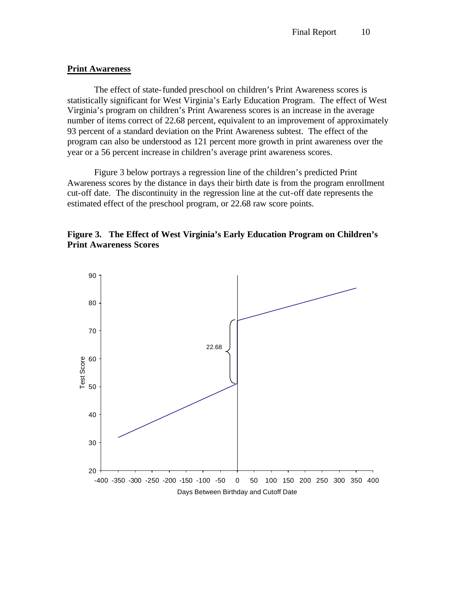#### **Print Awareness**

The effect of state-funded preschool on children's Print Awareness scores is statistically significant for West Virginia's Early Education Program. The effect of West Virginia's program on children's Print Awareness scores is an increase in the average number of items correct of 22.68 percent, equivalent to an improvement of approximately 93 percent of a standard deviation on the Print Awareness subtest. The effect of the program can also be understood as 121 percent more growth in print awareness over the year or a 56 percent increase in children's average print awareness scores.

Figure 3 below portrays a regression line of the children's predicted Print Awareness scores by the distance in days their birth date is from the program enrollment cut-off date. The discontinuity in the regression line at the cut-off date represents the estimated effect of the preschool program, or 22.68 raw score points.



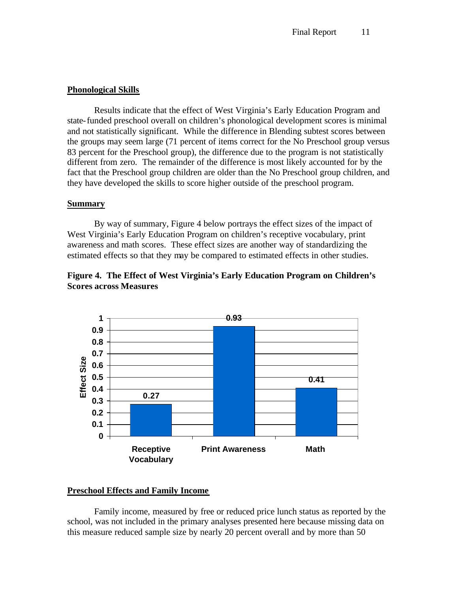#### **Phonological Skills**

Results indicate that the effect of West Virginia's Early Education Program and state-funded preschool overall on children's phonological development scores is minimal and not statistically significant. While the difference in Blending subtest scores between the groups may seem large (71 percent of items correct for the No Preschool group versus 83 percent for the Preschool group), the difference due to the program is not statistically different from zero. The remainder of the difference is most likely accounted for by the fact that the Preschool group children are older than the No Preschool group children, and they have developed the skills to score higher outside of the preschool program.

#### **Summary**

By way of summary, Figure 4 below portrays the effect sizes of the impact of West Virginia's Early Education Program on children's receptive vocabulary, print awareness and math scores. These effect sizes are another way of standardizing the estimated effects so that they may be compared to estimated effects in other studies.





### **Preschool Effects and Family Income**

Family income, measured by free or reduced price lunch status as reported by the school, was not included in the primary analyses presented here because missing data on this measure reduced sample size by nearly 20 percent overall and by more than 50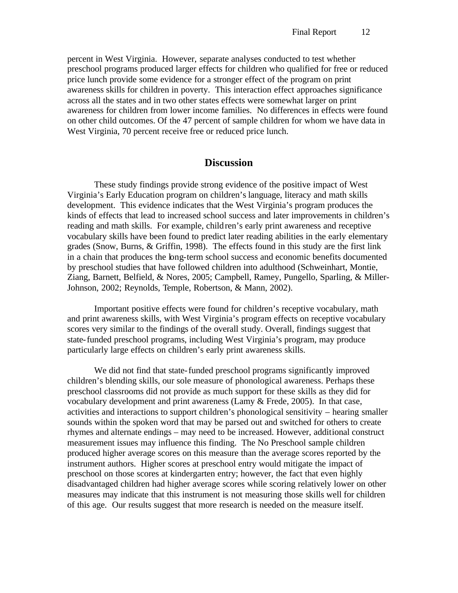percent in West Virginia. However, separate analyses conducted to test whether preschool programs produced larger effects for children who qualified for free or reduced price lunch provide some evidence for a stronger effect of the program on print awareness skills for children in poverty. This interaction effect approaches significance across all the states and in two other states effects were somewhat larger on print awareness for children from lower income families. No differences in effects were found on other child outcomes. Of the 47 percent of sample children for whom we have data in West Virginia, 70 percent receive free or reduced price lunch.

# **Discussion**

These study findings provide strong evidence of the positive impact of West Virginia's Early Education program on children's language, literacy and math skills development. This evidence indicates that the West Virginia's program produces the kinds of effects that lead to increased school success and later improvements in children's reading and math skills. For example, children's early print awareness and receptive vocabulary skills have been found to predict later reading abilities in the early elementary grades (Snow, Burns, & Griffin, 1998). The effects found in this study are the first link in a chain that produces the long-term school success and economic benefits documented by preschool studies that have followed children into adulthood (Schweinhart, Montie, Ziang, Barnett, Belfield, & Nores, 2005; Campbell, Ramey, Pungello, Sparling, & Miller-Johnson, 2002; Reynolds, Temple, Robertson, & Mann, 2002).

Important positive effects were found for children's receptive vocabulary, math and print awareness skills, with West Virginia's program effects on receptive vocabulary scores very similar to the findings of the overall study. Overall, findings suggest that state-funded preschool programs, including West Virginia's program, may produce particularly large effects on children's early print awareness skills.

We did not find that state-funded preschool programs significantly improved children's blending skills, our sole measure of phonological awareness. Perhaps these preschool classrooms did not provide as much support for these skills as they did for vocabulary development and print awareness (Lamy & Frede, 2005). In that case, activities and interactions to support children's phonological sensitivity – hearing smaller sounds within the spoken word that may be parsed out and switched for others to create rhymes and alternate endings – may need to be increased. However, additional construct measurement issues may influence this finding. The No Preschool sample children produced higher average scores on this measure than the average scores reported by the instrument authors. Higher scores at preschool entry would mitigate the impact of preschool on those scores at kindergarten entry; however, the fact that even highly disadvantaged children had higher average scores while scoring relatively lower on other measures may indicate that this instrument is not measuring those skills well for children of this age. Our results suggest that more research is needed on the measure itself.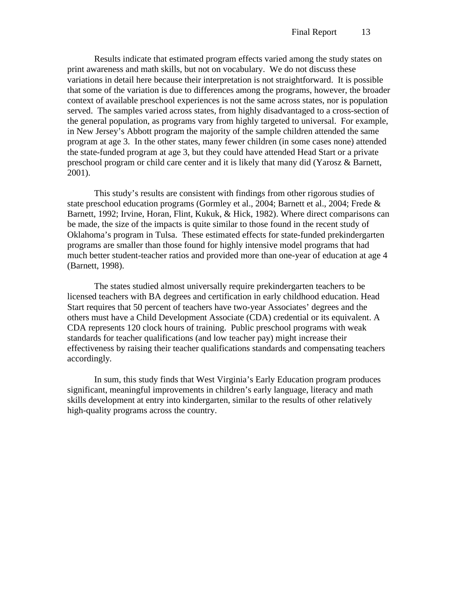Results indicate that estimated program effects varied among the study states on print awareness and math skills, but not on vocabulary. We do not discuss these variations in detail here because their interpretation is not straightforward. It is possible that some of the variation is due to differences among the programs, however, the broader context of available preschool experiences is not the same across states, nor is population served. The samples varied across states, from highly disadvantaged to a cross-section of the general population, as programs vary from highly targeted to universal. For example, in New Jersey's Abbott program the majority of the sample children attended the same program at age 3. In the other states, many fewer children (in some cases none) attended the state-funded program at age 3, but they could have attended Head Start or a private preschool program or child care center and it is likely that many did (Yarosz & Barnett, 2001).

This study's results are consistent with findings from other rigorous studies of state preschool education programs (Gormley et al., 2004; Barnett et al., 2004; Frede & Barnett, 1992; Irvine, Horan, Flint, Kukuk, & Hick, 1982). Where direct comparisons can be made, the size of the impacts is quite similar to those found in the recent study of Oklahoma's program in Tulsa. These estimated effects for state-funded prekindergarten programs are smaller than those found for highly intensive model programs that had much better student-teacher ratios and provided more than one-year of education at age 4 (Barnett, 1998).

The states studied almost universally require prekindergarten teachers to be licensed teachers with BA degrees and certification in early childhood education. Head Start requires that 50 percent of teachers have two-year Associates' degrees and the others must have a Child Development Associate (CDA) credential or its equivalent. A CDA represents 120 clock hours of training. Public preschool programs with weak standards for teacher qualifications (and low teacher pay) might increase their effectiveness by raising their teacher qualifications standards and compensating teachers accordingly.

In sum, this study finds that West Virginia's Early Education program produces significant, meaningful improvements in children's early language, literacy and math skills development at entry into kindergarten, similar to the results of other relatively high-quality programs across the country.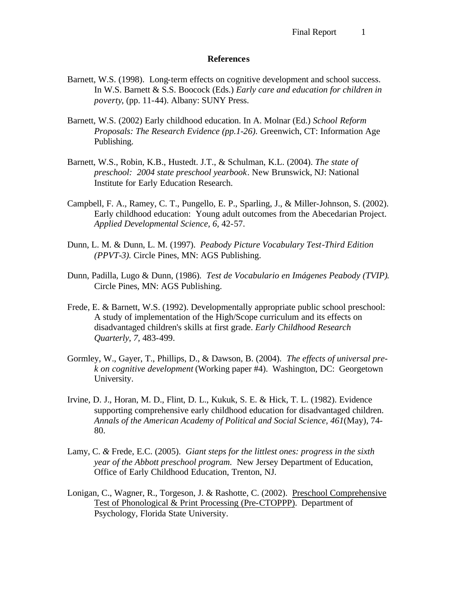#### **References**

- Barnett, W.S. (1998). Long-term effects on cognitive development and school success. In W.S. Barnett & S.S. Boocock (Eds.) *Early care and education for children in poverty*, (pp. 11-44). Albany: SUNY Press.
- Barnett, W.S. (2002) Early childhood education. In A. Molnar (Ed.) *School Reform Proposals: The Research Evidence (pp.1-26).* Greenwich, CT: Information Age Publishing.
- Barnett, W.S., Robin, K.B., Hustedt. J.T., & Schulman, K.L. (2004). *The state of preschool: 2004 state preschool yearbook*. New Brunswick, NJ: National Institute for Early Education Research.
- Campbell, F. A., Ramey, C. T., Pungello, E. P., Sparling, J., & Miller-Johnson, S. (2002). Early childhood education: Young adult outcomes from the Abecedarian Project. *Applied Developmental Science, 6,* 42-57.
- Dunn, L. M. & Dunn, L. M. (1997). *Peabody Picture Vocabulary Test-Third Edition (PPVT-3).* Circle Pines, MN: AGS Publishing.
- Dunn, Padilla, Lugo & Dunn, (1986). *Test de Vocabulario en Imágenes Peabody (TVIP)*. Circle Pines, MN: AGS Publishing.
- Frede, E. & Barnett, W.S. (1992). Developmentally appropriate public school preschool: A study of implementation of the High/Scope curriculum and its effects on disadvantaged children's skills at first grade. *Early Childhood Research Quarterly, 7,* 483-499.
- Gormley, W., Gayer, T., Phillips, D., & Dawson, B. (2004). *The effects of universal prek on cognitive development* (Working paper #4). Washington, DC: Georgetown University.
- Irvine, D. J., Horan, M. D., Flint, D. L., Kukuk, S. E. & Hick, T. L. (1982). Evidence supporting comprehensive early childhood education for disadvantaged children. *Annals of the American Academy of Political and Social Science, 461*(May), 74- 80.
- Lamy, C. *&* Frede, E.C. (2005). *Giant steps for the littlest ones: progress in the sixth year of the Abbott preschool program.* New Jersey Department of Education, Office of Early Childhood Education, Trenton, NJ.
- Lonigan, C., Wagner, R., Torgeson, J. & Rashotte, C. (2002). Preschool Comprehensive Test of Phonological & Print Processing (Pre-CTOPPP). Department of Psychology, Florida State University.